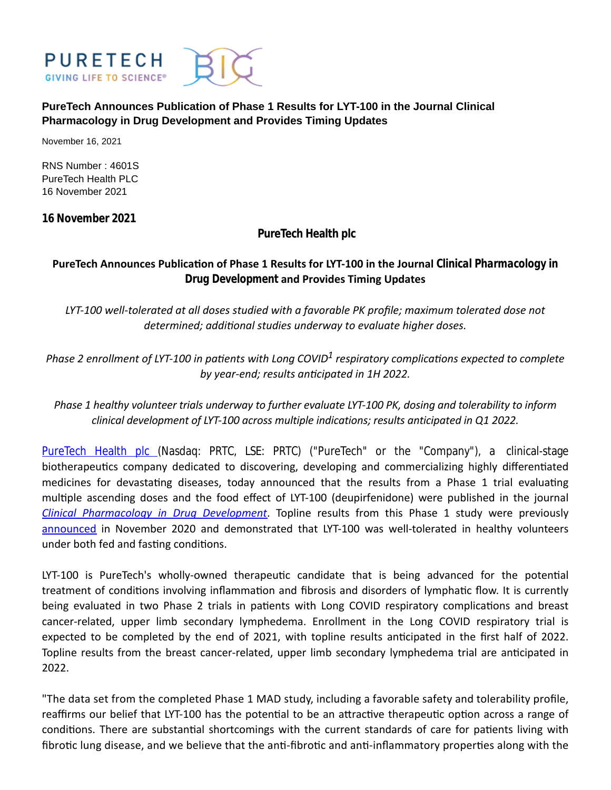

## **PureTech Announces Publication of Phase 1 Results for LYT-100 in the Journal Clinical Pharmacology in Drug Development and Provides Timing Updates**

November 16, 2021

RNS Number : 4601S PureTech Health PLC 16 November 2021

**16 November 2021**

**PureTech Health plc**

# **PureTech Announces Publication of Phase 1 Results for LYT-100 in the Journal** *Clinical Pharmacology in Drug Development* **and Provides Timing Updates**

*LYT-100 well-tolerated at all doses studied with a favorable PK profile; maximum tolerated dose not determined; addiƟonal studies underway to evaluate higher doses.*

Phase 2 enrollment of LYT-100 in patients with Long COVID<sup>1</sup> respiratory complications expected to complete *by year-end; results anƟcipated in 1H 2022.*

*Phase 1 healthy volunteer trials underway to further evaluate LYT-100 PK, dosing and tolerability to inform clinical development of LYT-100 across multiple indications; results anticipated in Q1 2022.*

[PureTech Health plc](https://puretechhealth.com/) (Nasdaq: PRTC, LSE: PRTC) ("PureTech" or the "Company"), a clinical-stage biotherapeutics company dedicated to discovering, developing and commercializing highly differentiated medicines for devastating diseases, today announced that the results from a Phase 1 trial evaluating multiple ascending doses and the food effect of LYT-100 (deupirfenidone) were published in the journal *[Clinical Pharmacology in Drug Development](https://accp1.onlinelibrary.wiley.com/doi/10.1002/cpdd.1040)*. Topline results from this Phase 1 study were previously [announced](https://news.puretechhealth.com/news-releases/news-release-details/puretechs-lyt-100-deupirfenidone-demonstrates-tolerability-and) in November 2020 and demonstrated that LYT-100 was well-tolerated in healthy volunteers under both fed and fasting conditions.

LYT-100 is PureTech's wholly-owned therapeutic candidate that is being advanced for the potential treatment of conditions involving inflammation and fibrosis and disorders of lymphatic flow. It is currently being evaluated in two Phase 2 trials in patients with Long COVID respiratory complications and breast cancer-related, upper limb secondary lymphedema. Enrollment in the Long COVID respiratory trial is expected to be completed by the end of 2021, with topline results anticipated in the first half of 2022. Topline results from the breast cancer-related, upper limb secondary lymphedema trial are anticipated in 2022.

"The data set from the completed Phase 1 MAD study, including a favorable safety and tolerability profile, reaffirms our belief that LYT-100 has the potential to be an attractive therapeutic option across a range of conditions. There are substantial shortcomings with the current standards of care for patients living with fibrotic lung disease, and we believe that the anti-fibrotic and anti-inflammatory properties along with the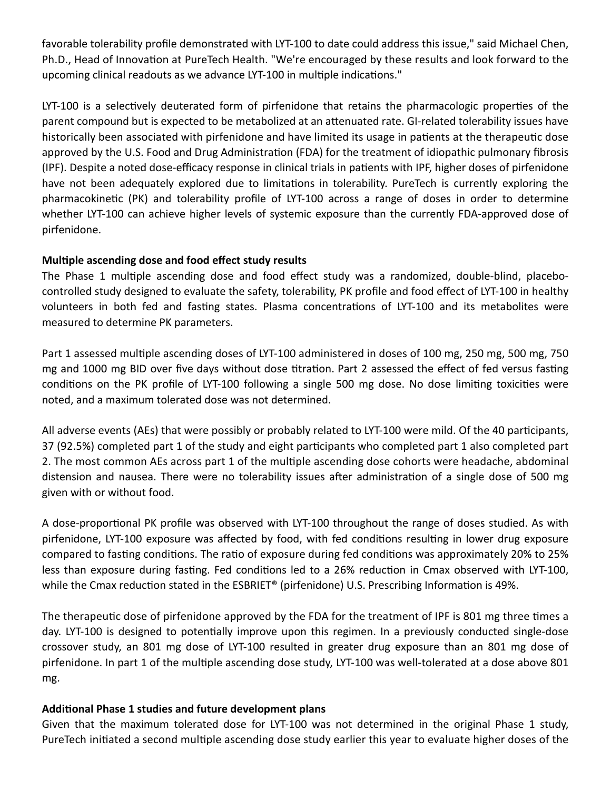favorable tolerability profile demonstrated with LYT-100 to date could address this issue," said Michael Chen, Ph.D., Head of Innovation at PureTech Health. "We're encouraged by these results and look forward to the upcoming clinical readouts as we advance LYT-100 in multiple indications."

LYT-100 is a selectively deuterated form of pirfenidone that retains the pharmacologic properties of the parent compound but is expected to be metabolized at an attenuated rate. GI-related tolerability issues have historically been associated with pirfenidone and have limited its usage in patients at the therapeutic dose approved by the U.S. Food and Drug Administration (FDA) for the treatment of idiopathic pulmonary fibrosis (IPF). Despite a noted dose-efficacy response in clinical trials in patients with IPF, higher doses of pirfenidone have not been adequately explored due to limitations in tolerability. PureTech is currently exploring the pharmacokinetic (PK) and tolerability profile of LYT-100 across a range of doses in order to determine whether LYT-100 can achieve higher levels of systemic exposure than the currently FDA-approved dose of pirfenidone.

## **MulƟple ascending dose and food effect study results**

The Phase 1 multiple ascending dose and food effect study was a randomized, double-blind, placebocontrolled study designed to evaluate the safety, tolerability, PK profile and food effect of LYT-100 in healthy volunteers in both fed and fasting states. Plasma concentrations of LYT-100 and its metabolites were measured to determine PK parameters.

Part 1 assessed multiple ascending doses of LYT-100 administered in doses of 100 mg, 250 mg, 500 mg, 750 mg and 1000 mg BID over five days without dose titration. Part 2 assessed the effect of fed versus fasting conditions on the PK profile of LYT-100 following a single 500 mg dose. No dose limiting toxicities were noted, and a maximum tolerated dose was not determined.

All adverse events (AEs) that were possibly or probably related to LYT-100 were mild. Of the 40 participants, 37 (92.5%) completed part 1 of the study and eight participants who completed part 1 also completed part 2. The most common AEs across part 1 of the multiple ascending dose cohorts were headache, abdominal distension and nausea. There were no tolerability issues after administration of a single dose of 500 mg given with or without food.

A dose-proportional PK profile was observed with LYT-100 throughout the range of doses studied. As with pirfenidone, LYT-100 exposure was affected by food, with fed conditions resulting in lower drug exposure compared to fasting conditions. The ratio of exposure during fed conditions was approximately 20% to 25% less than exposure during fasting. Fed conditions led to a 26% reduction in Cmax observed with LYT-100, while the Cmax reduction stated in the ESBRIET® (pirfenidone) U.S. Prescribing Information is 49%.

The therapeutic dose of pirfenidone approved by the FDA for the treatment of IPF is 801 mg three times a day. LYT-100 is designed to potentially improve upon this regimen. In a previously conducted single-dose crossover study, an 801 mg dose of LYT-100 resulted in greater drug exposure than an 801 mg dose of pirfenidone. In part 1 of the multiple ascending dose study, LYT-100 was well-tolerated at a dose above 801 mg.

#### **AddiƟonal Phase 1 studies and future development plans**

Given that the maximum tolerated dose for LYT-100 was not determined in the original Phase 1 study, PureTech initiated a second multiple ascending dose study earlier this year to evaluate higher doses of the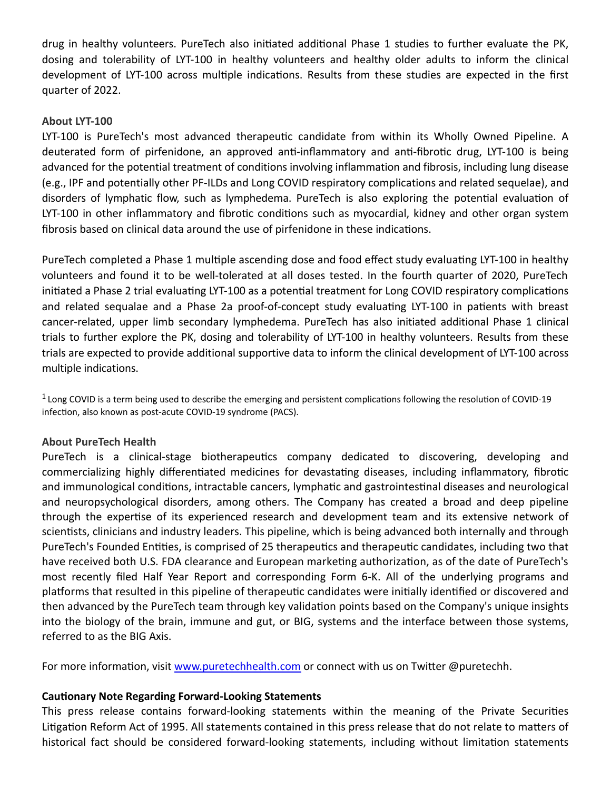drug in healthy volunteers. PureTech also initiated additional Phase 1 studies to further evaluate the PK, dosing and tolerability of LYT-100 in healthy volunteers and healthy older adults to inform the clinical development of LYT-100 across multiple indications. Results from these studies are expected in the first quarter of 2022.

## **About LYT-100**

LYT-100 is PureTech's most advanced therapeutic candidate from within its Wholly Owned Pipeline. A deuterated form of pirfenidone, an approved anti-inflammatory and anti-fibrotic drug, LYT-100 is being advanced for the potential treatment of conditions involving inflammation and fibrosis, including lung disease (e.g., IPF and potentially other PF-ILDs and Long COVID respiratory complications and related sequelae), and disorders of lymphatic flow, such as lymphedema. PureTech is also exploring the potential evaluation of LYT-100 in other inflammatory and fibrotic conditions such as myocardial, kidney and other organ system fibrosis based on clinical data around the use of pirfenidone in these indications.

PureTech completed a Phase 1 multiple ascending dose and food effect study evaluating LYT-100 in healthy volunteers and found it to be well-tolerated at all doses tested. In the fourth quarter of 2020, PureTech initiated a Phase 2 trial evaluating LYT-100 as a potential treatment for Long COVID respiratory complications and related sequalae and a Phase 2a proof-of-concept study evaluating LYT-100 in patients with breast cancer-related, upper limb secondary lymphedema. PureTech has also initiated additional Phase 1 clinical trials to further explore the PK, dosing and tolerability of LYT-100 in healthy volunteers. Results from these trials are expected to provide additional supportive data to inform the clinical development of LYT-100 across multiple indications.

 $1$  Long COVID is a term being used to describe the emerging and persistent complications following the resolution of COVID-19 infection, also known as post-acute COVID-19 syndrome (PACS).

#### **About PureTech Health**

PureTech is a clinical-stage biotherapeutics company dedicated to discovering, developing and commercializing highly differentiated medicines for devastating diseases, including inflammatory, fibrotic and immunological conditions, intractable cancers, lymphatic and gastrointestinal diseases and neurological and neuropsychological disorders, among others. The Company has created a broad and deep pipeline through the expertise of its experienced research and development team and its extensive network of scientists, clinicians and industry leaders. This pipeline, which is being advanced both internally and through PureTech's Founded Entities, is comprised of 25 therapeutics and therapeutic candidates, including two that have received both U.S. FDA clearance and European marketing authorization, as of the date of PureTech's most recently filed Half Year Report and corresponding Form 6-K. All of the underlying programs and platforms that resulted in this pipeline of therapeutic candidates were initially identified or discovered and then advanced by the PureTech team through key validation points based on the Company's unique insights into the biology of the brain, immune and gut, or BIG, systems and the interface between those systems, referred to as the BIG Axis.

For more information, visit [www.puretechhealth.com o](http://www.puretechhealth.com/)r connect with us on Twitter @puretechh.

#### **CauƟonary Note Regarding Forward-Looking Statements**

This press release contains forward-looking statements within the meaning of the Private Securities Litigation Reform Act of 1995. All statements contained in this press release that do not relate to matters of historical fact should be considered forward-looking statements, including without limitation statements